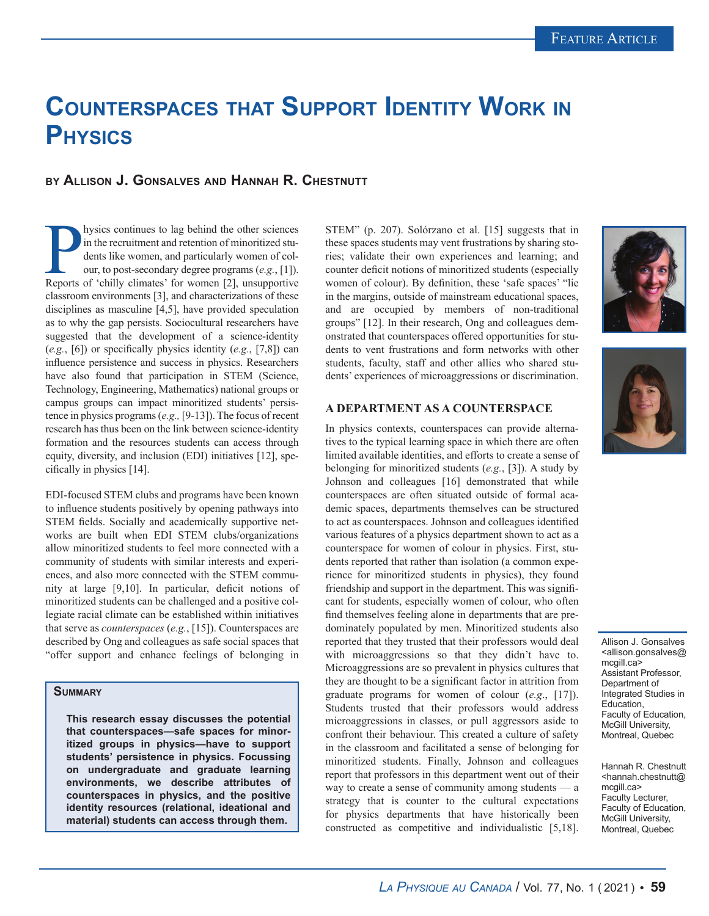# **Counterspaces that Support Identity Work in Physics**

# **by Allison J. Gonsalves and Hannah R. Chestnutt**

hysics continues to lag behind the other sciences<br>in the recruitment and retention of minoritized stu-<br>dents like women, and particularly women of col-<br>our, to post-secondary degree programs (*e.g.*, [1]).<br>Reports of 'chil hysics continues to lag behind the other sciences in the recruitment and retention of minoritized students like women, and particularly women of colour, to post-secondary degree programs (*e.g.*, [1]). classroom environments [3], and characterizations of these disciplines as masculine [4,5], have provided speculation as to why the gap persists. Sociocultural researchers have suggested that the development of a science-identity (*e.g.*, [6]) or specifically physics identity (*e.g.*, [7,8]) can influence persistence and success in physics. Researchers have also found that participation in STEM (Science, Technology, Engineering, Mathematics) national groups or campus groups can impact minoritized students' persistence in physics programs (*e.g.,* [9-13]). The focus of recent research has thus been on the link between science-identity formation and the resources students can access through equity, diversity, and inclusion (EDI) initiatives [12], specifically in physics [14].

EDI-focused STEM clubs and programs have been known to influence students positively by opening pathways into STEM fields. Socially and academically supportive networks are built when EDI STEM clubs/organizations allow minoritized students to feel more connected with a community of students with similar interests and experiences, and also more connected with the STEM community at large [9,10]. In particular, deficit notions of minoritized students can be challenged and a positive collegiate racial climate can be established within initiatives that serve as *counterspaces* (*e.g.*, [15]). Counterspaces are described by Ong and colleagues as safe social spaces that "offer support and enhance feelings of belonging in

## **Summary**

**This research essay discusses the potential that counterspaces—safe spaces for minoritized groups in physics—have to support students' persistence in physics. Focussing on undergraduate and graduate learning environments, we describe attributes of counterspaces in physics, and the positive identity resources (relational, ideational and material) students can access through them.**

STEM" (p. 207). Solórzano et al. [15] suggests that in these spaces students may vent frustrations by sharing stories; validate their own experiences and learning; and counter deficit notions of minoritized students (especially women of colour). By definition, these 'safe spaces' "lie in the margins, outside of mainstream educational spaces, and are occupied by members of non-traditional groups" [12]. In their research, Ong and colleagues demonstrated that counterspaces offered opportunities for students to vent frustrations and form networks with other students, faculty, staff and other allies who shared students' experiences of microaggressions or discrimination.

### **A DEPARTMENT AS A COUNTERSPACE**

In physics contexts, counterspaces can provide alternatives to the typical learning space in which there are often limited available identities, and efforts to create a sense of belonging for minoritized students (*e.g.*, [3]). A study by Johnson and colleagues [16] demonstrated that while counterspaces are often situated outside of formal academic spaces, departments themselves can be structured to act as counterspaces. Johnson and colleagues identified various features of a physics department shown to act as a counterspace for women of colour in physics. First, students reported that rather than isolation (a common experience for minoritized students in physics), they found friendship and support in the department. This was significant for students, especially women of colour, who often find themselves feeling alone in departments that are predominately populated by men. Minoritized students also reported that they trusted that their professors would deal with microaggressions so that they didn't have to. Microaggressions are so prevalent in physics cultures that they are thought to be a significant factor in attrition from graduate programs for women of colour (*e.g*., [17]). Students trusted that their professors would address microaggressions in classes, or pull aggressors aside to confront their behaviour. This created a culture of safety in the classroom and facilitated a sense of belonging for minoritized students. Finally, Johnson and colleagues report that professors in this department went out of their way to create a sense of community among students — a strategy that is counter to the cultural expectations for physics departments that have historically been constructed as competitive and individualistic [5,18].





Allison J. Gonsalves <allison.gonsalves@ mcgill.ca> Assistant Professor, Department of Integrated Studies in Education, Faculty of Education, McGill University, Montreal, Quebec

Hannah R. Chestnutt <hannah.chestnutt@ mcgill.ca> Faculty Lecturer, Faculty of Education, McGill University, Montreal, Quebec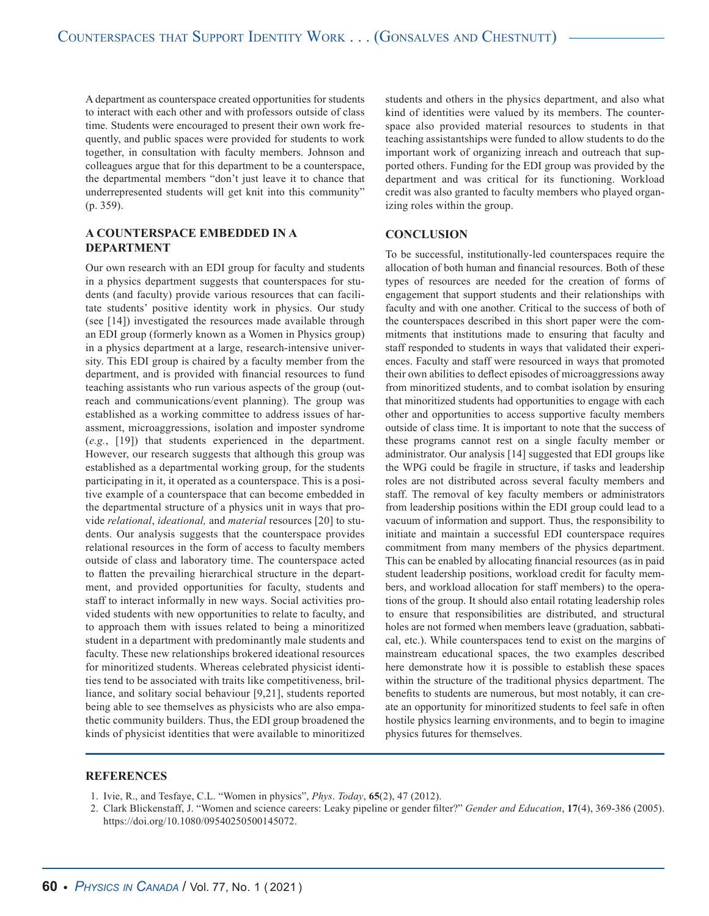A department as counterspace created opportunities for students to interact with each other and with professors outside of class time. Students were encouraged to present their own work frequently, and public spaces were provided for students to work together, in consultation with faculty members. Johnson and colleagues argue that for this department to be a counterspace, the departmental members "don't just leave it to chance that underrepresented students will get knit into this community" (p. 359).

### **A COUNTERSPACE EMBEDDED IN A DEPARTMENT**

Our own research with an EDI group for faculty and students in a physics department suggests that counterspaces for students (and faculty) provide various resources that can facilitate students' positive identity work in physics. Our study (see [14]) investigated the resources made available through an EDI group (formerly known as a Women in Physics group) in a physics department at a large, research-intensive university. This EDI group is chaired by a faculty member from the department, and is provided with financial resources to fund teaching assistants who run various aspects of the group (outreach and communications/event planning). The group was established as a working committee to address issues of harassment, microaggressions, isolation and imposter syndrome (*e.g.*, [19]) that students experienced in the department. However, our research suggests that although this group was established as a departmental working group, for the students participating in it, it operated as a counterspace. This is a positive example of a counterspace that can become embedded in the departmental structure of a physics unit in ways that provide *relational*, *ideational,* and *material* resources [20] to students. Our analysis suggests that the counterspace provides relational resources in the form of access to faculty members outside of class and laboratory time. The counterspace acted to flatten the prevailing hierarchical structure in the department, and provided opportunities for faculty, students and staff to interact informally in new ways. Social activities provided students with new opportunities to relate to faculty, and to approach them with issues related to being a minoritized student in a department with predominantly male students and faculty. These new relationships brokered ideational resources for minoritized students. Whereas celebrated physicist identities tend to be associated with traits like competitiveness, brilliance, and solitary social behaviour [9,21], students reported being able to see themselves as physicists who are also empathetic community builders. Thus, the EDI group broadened the kinds of physicist identities that were available to minoritized students and others in the physics department, and also what kind of identities were valued by its members. The counterspace also provided material resources to students in that teaching assistantships were funded to allow students to do the important work of organizing inreach and outreach that supported others. Funding for the EDI group was provided by the department and was critical for its functioning. Workload credit was also granted to faculty members who played organizing roles within the group.

#### **CONCLUSION**

To be successful, institutionally-led counterspaces require the allocation of both human and financial resources. Both of these types of resources are needed for the creation of forms of engagement that support students and their relationships with faculty and with one another. Critical to the success of both of the counterspaces described in this short paper were the commitments that institutions made to ensuring that faculty and staff responded to students in ways that validated their experiences. Faculty and staff were resourced in ways that promoted their own abilities to deflect episodes of microaggressions away from minoritized students, and to combat isolation by ensuring that minoritized students had opportunities to engage with each other and opportunities to access supportive faculty members outside of class time. It is important to note that the success of these programs cannot rest on a single faculty member or administrator. Our analysis [14] suggested that EDI groups like the WPG could be fragile in structure, if tasks and leadership roles are not distributed across several faculty members and staff. The removal of key faculty members or administrators from leadership positions within the EDI group could lead to a vacuum of information and support. Thus, the responsibility to initiate and maintain a successful EDI counterspace requires commitment from many members of the physics department. This can be enabled by allocating financial resources (as in paid student leadership positions, workload credit for faculty members, and workload allocation for staff members) to the operations of the group. It should also entail rotating leadership roles to ensure that responsibilities are distributed, and structural holes are not formed when members leave (graduation, sabbatical, etc.). While counterspaces tend to exist on the margins of mainstream educational spaces, the two examples described here demonstrate how it is possible to establish these spaces within the structure of the traditional physics department. The benefits to students are numerous, but most notably, it can create an opportunity for minoritized students to feel safe in often hostile physics learning environments, and to begin to imagine physics futures for themselves.

#### **REFERENCES**

- 1. Ivie, R., and Tesfaye, C.L. "Women in physics", *Phys*. *Today*, **65**(2), 47 (2012).
- 2. Clark Blickenstaff, J. "Women and science careers: Leaky pipeline or gender filter?" *Gender and Education*, **17**(4), 369-386 (2005). https://doi.org/10.1080/09540250500145072.